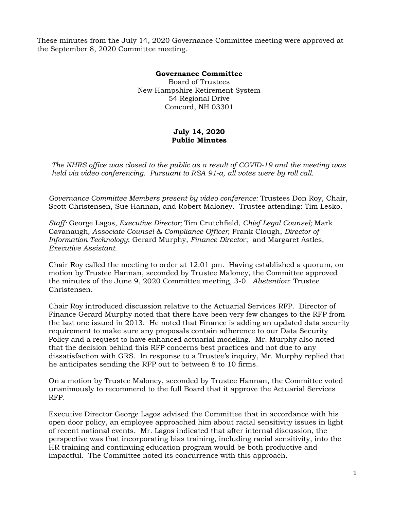These minutes from the July 14, 2020 Governance Committee meeting were approved at the September 8, 2020 Committee meeting.

## **Governance Committee**

Board of Trustees New Hampshire Retirement System 54 Regional Drive Concord, NH 03301

## **July 14, 2020 Public Minutes**

*The NHRS office was closed to the public as a result of COVID-19 and the meeting was held via video conferencing. Pursuant to RSA 91-a, all votes were by roll call.*

*Governance Committee Members present by video conference:* Trustees Don Roy, Chair, Scott Christensen, Sue Hannan, and Robert Maloney. Trustee attending: Tim Lesko.

*Staff:* George Lagos*, Executive Director;* Tim Crutchfield*, Chief Legal Counsel;* Mark Cavanaugh*, Associate Counsel & Compliance Officer*; Frank Clough, *Director of Information Technology*; Gerard Murphy, *Finance Directo*r;and Margaret Astles*, Executive Assistant.* 

Chair Roy called the meeting to order at 12:01 pm. Having established a quorum, on motion by Trustee Hannan, seconded by Trustee Maloney, the Committee approved the minutes of the June 9, 2020 Committee meeting, 3-0. *Abstention*: Trustee Christensen.

Chair Roy introduced discussion relative to the Actuarial Services RFP. Director of Finance Gerard Murphy noted that there have been very few changes to the RFP from the last one issued in 2013. He noted that Finance is adding an updated data security requirement to make sure any proposals contain adherence to our Data Security Policy and a request to have enhanced actuarial modeling. Mr. Murphy also noted that the decision behind this RFP concerns best practices and not due to any dissatisfaction with GRS. In response to a Trustee's inquiry, Mr. Murphy replied that he anticipates sending the RFP out to between 8 to 10 firms.

On a motion by Trustee Maloney, seconded by Trustee Hannan, the Committee voted unanimously to recommend to the full Board that it approve the Actuarial Services RFP.

Executive Director George Lagos advised the Committee that in accordance with his open door policy, an employee approached him about racial sensitivity issues in light of recent national events. Mr. Lagos indicated that after internal discussion, the perspective was that incorporating bias training, including racial sensitivity, into the HR training and continuing education program would be both productive and impactful. The Committee noted its concurrence with this approach.